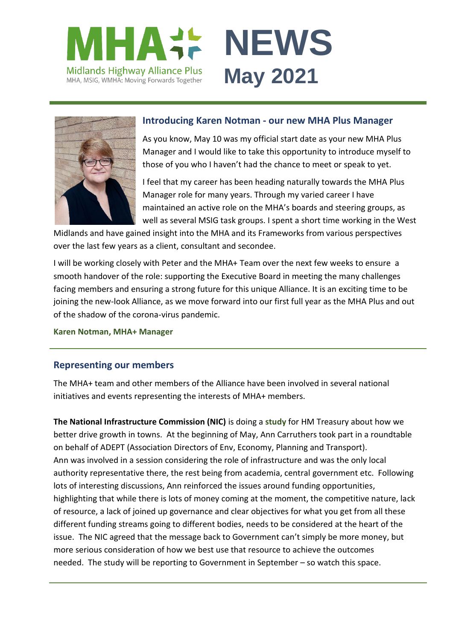



#### **Introducing Karen Notman - our new MHA Plus Manager**

As you know, May 10 was my official start date as your new MHA Plus Manager and I would like to take this opportunity to introduce myself to those of you who I haven't had the chance to meet or speak to yet.

I feel that my career has been heading naturally towards the MHA Plus Manager role for many years. Through my varied career I have maintained an active role on the MHA's boards and steering groups, as well as several MSIG task groups. I spent a short time working in the West

Midlands and have gained insight into the MHA and its Frameworks from various perspectives over the last few years as a client, consultant and secondee.

I will be working closely with Peter and the MHA+ Team over the next few weeks to ensure a smooth handover of the role: supporting the Executive Board in meeting the many challenges facing members and ensuring a strong future for this unique Alliance. It is an exciting time to be joining the new-look Alliance, as we move forward into our first full year as the MHA Plus and out of the shadow of the corona-virus pandemic.

**[Karen Notman, MHA+ Manager](mailto:Karen.Notman@leics.gov.uk)**

### **Representing our members**

The MHA+ team and other members of the Alliance have been involved in several national initiatives and events representing the interests of MHA+ members.

**The National Infrastructure Commission (NIC)** is doing a **[study](https://nic.org.uk/studies-reports/infrastructure-towns-and-regeneration/)** for HM Treasury about how we better drive growth in towns. At the beginning of May, Ann Carruthers took part in a roundtable on behalf of ADEPT (Association Directors of Env, Economy, Planning and Transport). Ann was involved in a session considering the role of infrastructure and was the only local authority representative there, the rest being from academia, central government etc. Following lots of interesting discussions, Ann reinforced the issues around funding opportunities, highlighting that while there is lots of money coming at the moment, the competitive nature, lack of resource, a lack of joined up governance and clear objectives for what you get from all these different funding streams going to different bodies, needs to be considered at the heart of the issue. The NIC agreed that the message back to Government can't simply be more money, but more serious consideration of how we best use that resource to achieve the outcomes needed. The study will be reporting to Government in September – so watch this space.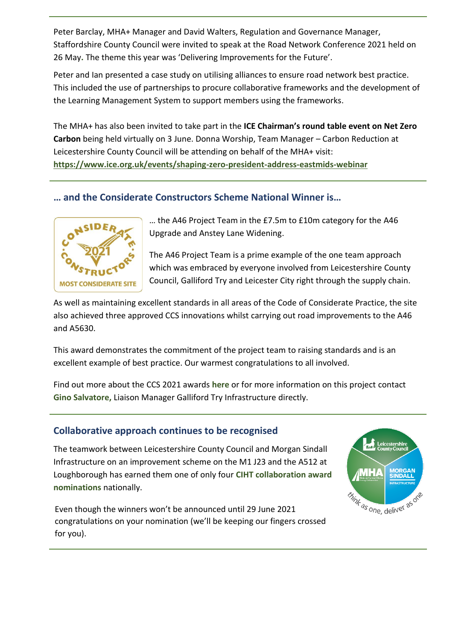Peter Barclay, MHA+ Manager and David Walters, Regulation and Governance Manager, Staffordshire County Council were invited to speak at the Road Network Conference 2021 held on 26 May**.** The theme this year was 'Delivering Improvements for the Future'.

Peter and Ian presented a case study on utilising alliances to ensure road network best practice. This included the use of partnerships to procure collaborative frameworks and the development of the Learning Management System to support members using the frameworks.

The MHA+ has also been invited to take part in the **ICE Chairman's round table event on Net Zero Carbon** being held virtually on 3 June. Donna Worship, Team Manager – Carbon Reduction at Leicestershire County Council will be attending on behalf of the MHA+ visit: **<https://www.ice.org.uk/events/shaping-zero-president-address-eastmids-webinar>**

# **… and the Considerate Constructors Scheme National Winner is…**



… the A46 Project Team in the £7.5m to £10m category for the A46 Upgrade and Anstey Lane Widening.

The A46 Project Team is a prime example of the one team approach which was embraced by everyone involved from Leicestershire County Council, Galliford Try and Leicester City right through the supply chain.

As well as maintaining excellent standards in all areas of the Code of Considerate Practice, the site also achieved three approved CCS innovations whilst carrying out road improvements to the A46 and A5630.

This award demonstrates the commitment of the project team to raising standards and is an excellent example of best practice. Our warmest congratulations to all involved.

Find out more about the CCS 2021 awards **[here](https://www.ccscheme.org.uk/2021-national-site-award-winners-announced/)** or for more information on this project contact **[Gino Salvatore,](mailto:gino.salvatore@gallifordtry.co.uk)** Liaison Manager Galliford Try Infrastructure directly.

### **Collaborative approach continues to be recognised**

The teamwork between Leicestershire County Council and Morgan Sindall Infrastructure on an improvement scheme on the M1 J23 and the A512 at Loughborough has earned them one of only four **[CIHT collaboration award](https://www.ciht.org.uk/events-listing/featured-events/ciht-awards/2021-shortlist/ciht-collaboration-award-2021/)  [nominations](https://www.ciht.org.uk/events-listing/featured-events/ciht-awards/2021-shortlist/ciht-collaboration-award-2021/)** nationally.

Even though the winners won't be announced until 29 June 2021 congratulations on your nomination (we'll be keeping our fingers crossed for you).

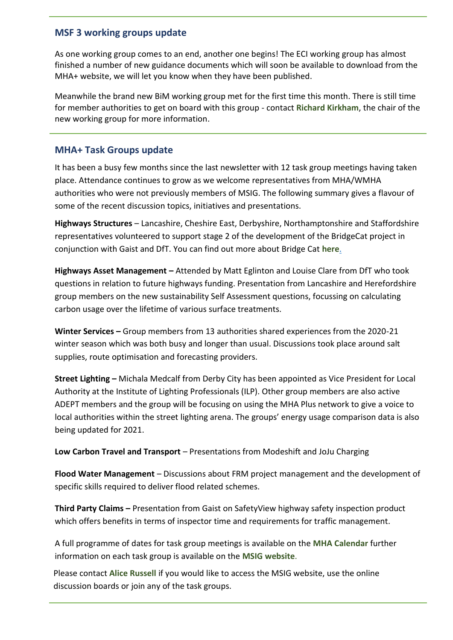### **MSF 3 working groups update**

As one working group comes to an end, another one begins! The ECI working group has almost finished a number of new guidance documents which will soon be available to download from the MHA+ website, we will let you know when they have been published.

Meanwhile the brand new BiM working group met for the first time this month. There is still time for member authorities to get on board with this group - contact **[Richard Kirkham](mailto:Richard.Kirkham@morgansindall.com)**, the chair of the new working group for more information.

### **MHA+ Task Groups update**

It has been a busy few months since the last newsletter with 12 task group meetings having taken place. Attendance continues to grow as we welcome representatives from MHA/WMHA authorities who were not previously members of MSIG. The following summary gives a flavour of some of the recent discussion topics, initiatives and presentations.

**Highways Structures** – Lancashire, Cheshire East, Derbyshire, Northamptonshire and Staffordshire representatives volunteered to support stage 2 of the development of the BridgeCat project in conjunction with Gaist and DfT. You can find out more about Bridge Cat **[here](https://www.gaist.co.uk/case-studies/bridgecat-2)**.

**Highways Asset Management –** Attended by Matt Eglinton and Louise Clare from DfT who took questions in relation to future highways funding. Presentation from Lancashire and Herefordshire group members on the new sustainability Self Assessment questions, focussing on calculating carbon usage over the lifetime of various surface treatments.

**Winter Services –** Group members from 13 authorities shared experiences from the 2020-21 winter season which was both busy and longer than usual. Discussions took place around salt supplies, route optimisation and forecasting providers.

**Street Lighting –** Michala Medcalf from Derby City has been appointed as Vice President for Local Authority at the Institute of Lighting Professionals (ILP). Other group members are also active ADEPT members and the group will be focusing on using the MHA Plus network to give a voice to local authorities within the street lighting arena. The groups' energy usage comparison data is also being updated for 2021.

**Low Carbon Travel and Transport** – Presentations from Modeshift and JoJu Charging

**Flood Water Management** – Discussions about FRM project management and the development of specific skills required to deliver flood related schemes.

**Third Party Claims –** Presentation from Gaist on SafetyView highway safety inspection product which offers benefits in terms of inspector time and requirements for traffic management.

A full programme of dates for task group meetings is available on the **[MHA Calendar](https://www.mhaplus.org.uk/calendar/)** further information on each task group is available on the **[MSIG website](https://msig.econtrack.com/Content.aspx?1802)**.

Please contact **[Alice Russell](mailto:alice.russell@derbyshire.gov.uk)** if you would like to access the MSIG website, use the online discussion boards or join any of the task groups.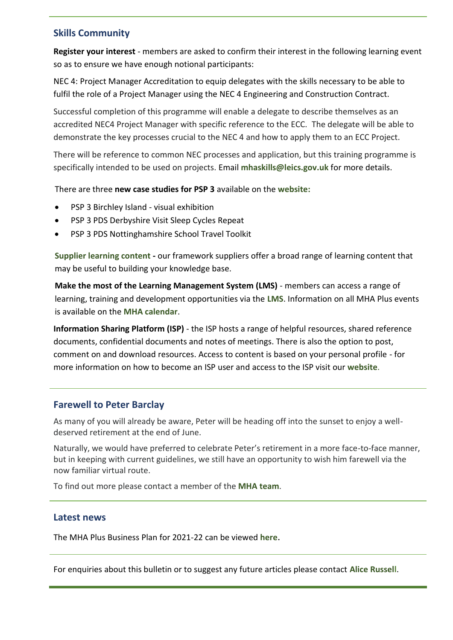## **Skills Community**

**Register your interest** - members are asked to confirm their interest in the following learning event so as to ensure we have enough notional participants:

NEC 4: Project Manager Accreditation to equip delegates with the skills necessary to be able to fulfil the role of a Project Manager using the NEC 4 Engineering and Construction Contract.

Successful completion of this programme will enable a delegate to describe themselves as an accredited NEC4 Project Manager with specific reference to the ECC. The delegate will be able to demonstrate the key processes crucial to the NEC 4 and how to apply them to an ECC Project.

There will be reference to common NEC processes and application, but this training programme is specifically intended to be used on projects. Email **[mhaskills@leics.gov.uk](mailto:mhaskills@leics.gov.uk)** for more details.

There are three **new case studies for PSP 3** available on the **[website:](https://www.mhaplus.org.uk/member/)**

- PSP 3 Birchley Island visual exhibition
- PSP 3 PDS Derbyshire Visit Sleep Cycles Repeat
- PSP 3 PDS Nottinghamshire School Travel Toolkit

**[Supplier learning content](https://www.mhaplus.org.uk/work-streams/skills-academy/learning-and-development/mha-supplier-learning-content/) -** our framework suppliers offer a broad range of learning content that may be useful to building your knowledge base.

**Make the most of the Learning Management System (LMS)** - members can access a range of learning, training and development opportunities via the **[LMS](https://mhaskills.virtual-college.co.uk/)**. Information on all MHA Plus events is available on the **[MHA calendar](https://www.mhaplus.org.uk/calendar/)**.

**Information Sharing Platform (ISP)** - the ISP hosts a range of helpful resources, shared reference documents, confidential documents and notes of meetings. There is also the option to post, comment on and download resources. Access to content is based on your personal profile - for more information on how to become an ISP user and access to the ISP visit our **[website](https://www.mhaplus.org.uk/member/)**.

### **Farewell to Peter Barclay**

As many of you will already be aware, Peter will be heading off into the sunset to enjoy a welldeserved retirement at the end of June.

Naturally, we would have preferred to celebrate Peter's retirement in a more face-to-face manner, but in keeping with current guidelines, we still have an opportunity to wish him farewell via the now familiar virtual route.

To find out more please contact a member of the **[MHA team](https://www.mhaplus.org.uk/about-us/contacts/)**.

#### **Latest news**

The MHA Plus Business Plan for 2021-22 can be viewed **[here](https://www.mhaplus.org.uk/download/business_plans/MHA-Business-Plan-2021_22.pdf)**.

For enquiries about this bulletin or to suggest any future articles please contact **[Alice Russell](mailto:alice.russell@derbyshire.gov.uk)**.